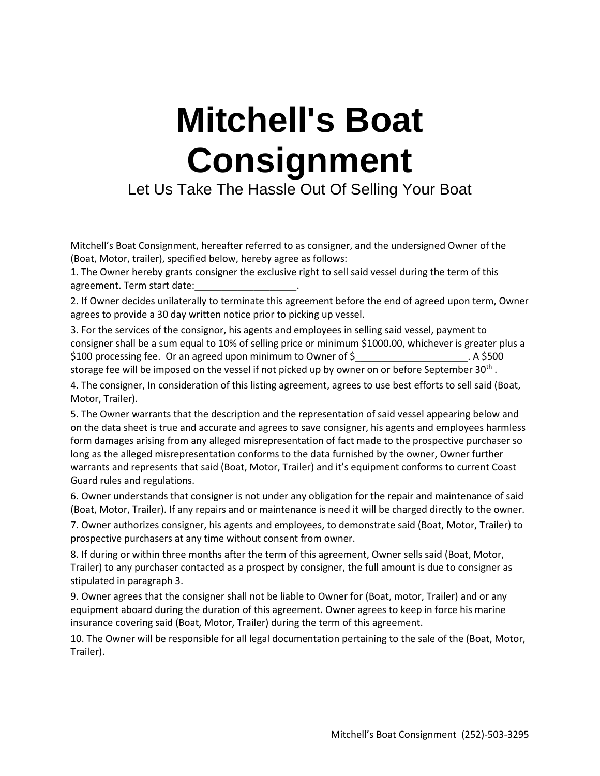## **Mitchell's Boat Consignment**

Let Us Take The Hassle Out Of Selling Your Boat

Mitchell's Boat Consignment, hereafter referred to as consigner, and the undersigned Owner of the (Boat, Motor, trailer), specified below, hereby agree as follows:

1. The Owner hereby grants consigner the exclusive right to sell said vessel during the term of this agreement. Term start date:

2. If Owner decides unilaterally to terminate this agreement before the end of agreed upon term, Owner agrees to provide a 30 day written notice prior to picking up vessel.

3. For the services of the consignor, his agents and employees in selling said vessel, payment to consigner shall be a sum equal to 10% of selling price or minimum \$1000.00, whichever is greater plus a \$100 processing fee. Or an agreed upon minimum to Owner of \$\_\_\_\_\_\_\_\_\_\_\_\_\_\_\_\_\_\_\_\_. A \$500

storage fee will be imposed on the vessel if not picked up by owner on or before September 30<sup>th</sup> . 4. The consigner, In consideration of this listing agreement, agrees to use best efforts to sell said (Boat, Motor, Trailer).

5. The Owner warrants that the description and the representation of said vessel appearing below and on the data sheet is true and accurate and agrees to save consigner, his agents and employees harmless form damages arising from any alleged misrepresentation of fact made to the prospective purchaser so long as the alleged misrepresentation conforms to the data furnished by the owner, Owner further warrants and represents that said (Boat, Motor, Trailer) and it's equipment conforms to current Coast Guard rules and regulations.

6. Owner understands that consigner is not under any obligation for the repair and maintenance of said (Boat, Motor, Trailer). If any repairs and or maintenance is need it will be charged directly to the owner.

7. Owner authorizes consigner, his agents and employees, to demonstrate said (Boat, Motor, Trailer) to prospective purchasers at any time without consent from owner.

8. If during or within three months after the term of this agreement, Owner sells said (Boat, Motor, Trailer) to any purchaser contacted as a prospect by consigner, the full amount is due to consigner as stipulated in paragraph 3.

9. Owner agrees that the consigner shall not be liable to Owner for (Boat, motor, Trailer) and or any equipment aboard during the duration of this agreement. Owner agrees to keep in force his marine insurance covering said (Boat, Motor, Trailer) during the term of this agreement.

10. The Owner will be responsible for all legal documentation pertaining to the sale of the (Boat, Motor, Trailer).